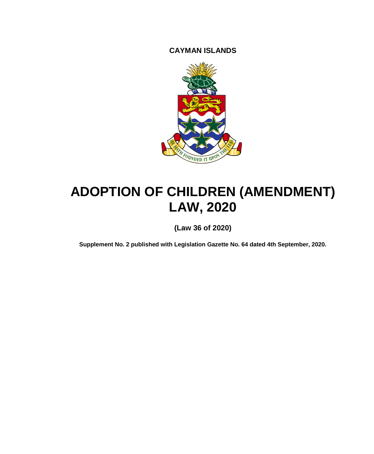**CAYMAN ISLANDS**



# **ADOPTION OF CHILDREN (AMENDMENT) LAW, 2020**

**(Law 36 of 2020)**

**Supplement No. 2 published with Legislation Gazette No. 64 dated 4th September, 2020.**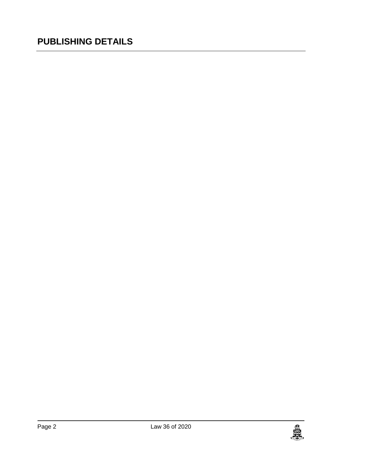### **PUBLISHING DETAILS**

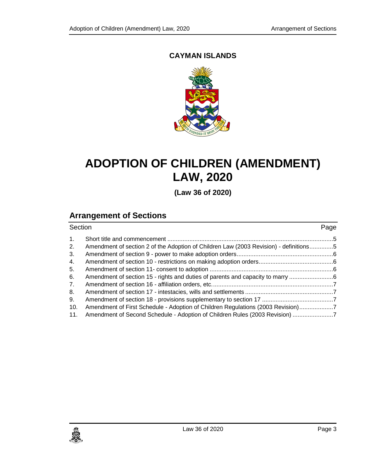#### **CAYMAN ISLANDS**



## **ADOPTION OF CHILDREN (AMENDMENT) LAW, 2020**

**(Law 36 of 2020)**

### **Arrangement of Sections**

| Section        |                                                                                       | Page |  |
|----------------|---------------------------------------------------------------------------------------|------|--|
| 1 <sub>1</sub> |                                                                                       |      |  |
| 2.             | Amendment of section 2 of the Adoption of Children Law (2003 Revision) - definitions5 |      |  |
| 3.             |                                                                                       |      |  |
| 4.             |                                                                                       |      |  |
| 5.             |                                                                                       |      |  |
| 6.             | Amendment of section 15 - rights and duties of parents and capacity to marry          |      |  |
| 7.             |                                                                                       |      |  |
| 8.             |                                                                                       |      |  |
| 9.             |                                                                                       |      |  |
| 10.            | Amendment of First Schedule - Adoption of Children Regulations (2003 Revision)7       |      |  |
| 11.            | Amendment of Second Schedule - Adoption of Children Rules (2003 Revision)             |      |  |
|                |                                                                                       |      |  |

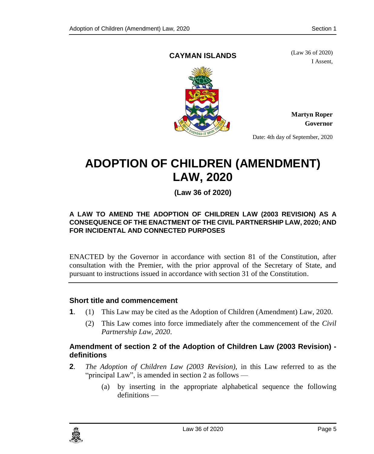#### **CAYMAN ISLANDS**

(Law 36 of 2020) I Assent,



**Martyn Roper Governor**

Date: 4th day of September, 2020

## **ADOPTION OF CHILDREN (AMENDMENT) LAW, 2020**

**(Law 36 of 2020)**

#### **A LAW TO AMEND THE ADOPTION OF CHILDREN LAW (2003 REVISION) AS A CONSEQUENCE OF THE ENACTMENT OF THE CIVIL PARTNERSHIP LAW, 2020; AND FOR INCIDENTAL AND CONNECTED PURPOSES**

ENACTED by the Governor in accordance with section 81 of the Constitution, after consultation with the Premier, with the prior approval of the Secretary of State, and pursuant to instructions issued in accordance with section 31 of the Constitution.

#### <span id="page-4-0"></span>**1. Short title and commencement**

- **1**. (1) This Law may be cited as the Adoption of Children (Amendment) Law, 2020.
	- (2) This Law comes into force immediately after the commencement of the *Civil Partnership Law, 2020*.

#### <span id="page-4-1"></span>**2. Amendment of section 2 of the Adoption of Children Law (2003 Revision) definitions**

- **2**. *The Adoption of Children Law (2003 Revision)*, in this Law referred to as the "principal Law", is amended in section 2 as follows —
	- (a) by inserting in the appropriate alphabetical sequence the following definitions —

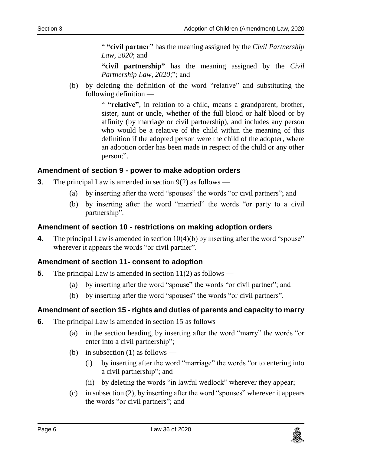" **"civil partner"** has the meaning assigned by the *Civil Partnership Law, 2020*; and

**"civil partnership"** has the meaning assigned by the *Civil Partnership Law, 2020*;"; and

(b) by deleting the definition of the word "relative" and substituting the following definition —

> " **"relative"**, in relation to a child, means a grandparent, brother, sister, aunt or uncle, whether of the full blood or half blood or by affinity (by marriage or civil partnership), and includes any person who would be a relative of the child within the meaning of this definition if the adopted person were the child of the adopter, where an adoption order has been made in respect of the child or any other person;".

#### <span id="page-5-0"></span>**3. Amendment of section 9 - power to make adoption orders**

- **3**. The principal Law is amended in section 9(2) as follows
	- (a) by inserting after the word "spouses" the words "or civil partners"; and
	- (b) by inserting after the word "married" the words "or party to a civil partnership".

#### <span id="page-5-1"></span>**4. Amendment of section 10 - restrictions on making adoption orders**

**4**. The principal Law is amended in section 10(4)(b) by inserting after the word "spouse" wherever it appears the words "or civil partner".

#### <span id="page-5-2"></span>**5. Amendment of section 11- consent to adoption**

- **5**. The principal Law is amended in section 11(2) as follows
	- (a) by inserting after the word "spouse" the words "or civil partner"; and
	- (b) by inserting after the word "spouses" the words "or civil partners".

#### <span id="page-5-3"></span>**6. Amendment of section 15 - rights and duties of parents and capacity to marry**

- **6**. The principal Law is amended in section 15 as follows
	- (a) in the section heading, by inserting after the word "marry" the words "or enter into a civil partnership";
	- (b) in subsection  $(1)$  as follows
		- (i) by inserting after the word "marriage" the words "or to entering into a civil partnership"; and
		- (ii) by deleting the words "in lawful wedlock" wherever they appear;
	- (c) in subsection (2), by inserting after the word "spouses" wherever it appears the words "or civil partners"; and

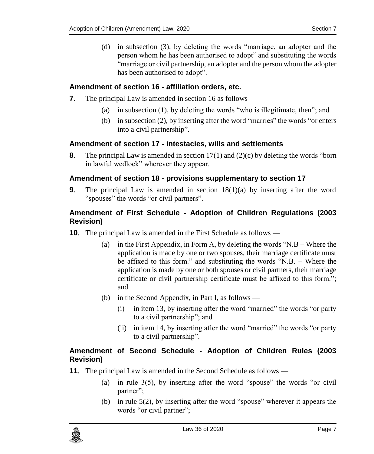(d) in subsection (3), by deleting the words "marriage, an adopter and the person whom he has been authorised to adopt" and substituting the words "marriage or civil partnership, an adopter and the person whom the adopter has been authorised to adopt".

#### <span id="page-6-0"></span>**7. Amendment of section 16 - affiliation orders, etc.**

- **7**. The principal Law is amended in section 16 as follows
	- (a) in subsection (1), by deleting the words "who is illegitimate, then"; and
	- (b) in subsection (2), by inserting after the word "marries" the words "or enters into a civil partnership".

#### <span id="page-6-1"></span>**8. Amendment of section 17 - intestacies, wills and settlements**

**8**. The principal Law is amended in section 17(1) and (2)(c) by deleting the words "born in lawful wedlock" wherever they appear.

#### <span id="page-6-2"></span>**9. Amendment of section 18 - provisions supplementary to section 17**

**9**. The principal Law is amended in section 18(1)(a) by inserting after the word "spouses" the words "or civil partners".

#### <span id="page-6-3"></span>**10. Amendment of First Schedule - Adoption of Children Regulations (2003 Revision)**

- **10.** The principal Law is amended in the First Schedule as follows
	- (a) in the First Appendix, in Form A, by deleting the words "N.B Where the application is made by one or two spouses, their marriage certificate must be affixed to this form." and substituting the words "N.B. – Where the application is made by one or both spouses or civil partners, their marriage certificate or civil partnership certificate must be affixed to this form."; and
	- (b) in the Second Appendix, in Part I, as follows
		- (i) in item 13, by inserting after the word "married" the words "or party to a civil partnership"; and
		- (ii) in item 14, by inserting after the word "married" the words "or party to a civil partnership".

#### <span id="page-6-4"></span>**11. Amendment of Second Schedule - Adoption of Children Rules (2003 Revision)**

- **11.** The principal Law is amended in the Second Schedule as follows
	- (a) in rule  $3(5)$ , by inserting after the word "spouse" the words "or civil" partner";
	- (b) in rule 5(2), by inserting after the word "spouse" wherever it appears the words "or civil partner";

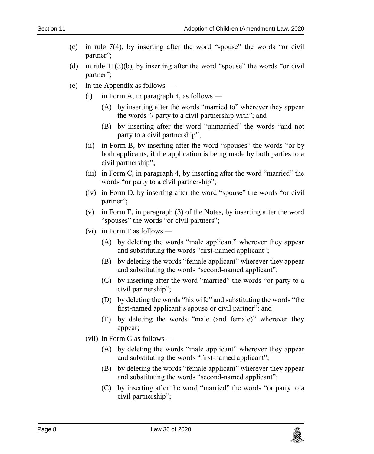- (c) in rule  $7(4)$ , by inserting after the word "spouse" the words "or civil partner";
- (d) in rule  $11(3)(b)$ , by inserting after the word "spouse" the words "or civil partner";
- (e) in the Appendix as follows
	- (i) in Form A, in paragraph 4, as follows
		- (A) by inserting after the words "married to" wherever they appear the words "/ party to a civil partnership with"; and
		- (B) by inserting after the word "unmarried" the words "and not party to a civil partnership";
	- (ii) in Form B, by inserting after the word "spouses" the words "or by both applicants, if the application is being made by both parties to a civil partnership";
	- (iii) in Form C, in paragraph 4, by inserting after the word "married" the words "or party to a civil partnership";
	- (iv) in Form D, by inserting after the word "spouse" the words "or civil partner";
	- (v) in Form E, in paragraph (3) of the Notes, by inserting after the word "spouses" the words "or civil partners";
	- (vi) in Form F as follows
		- (A) by deleting the words "male applicant" wherever they appear and substituting the words "first-named applicant";
		- (B) by deleting the words "female applicant" wherever they appear and substituting the words "second-named applicant";
		- (C) by inserting after the word "married" the words "or party to a civil partnership";
		- (D) by deleting the words "his wife" and substituting the words "the first-named applicant's spouse or civil partner"; and
		- (E) by deleting the words "male (and female)" wherever they appear;
	- (vii) in Form G as follows
		- (A) by deleting the words "male applicant" wherever they appear and substituting the words "first-named applicant";
		- (B) by deleting the words "female applicant" wherever they appear and substituting the words "second-named applicant";
		- (C) by inserting after the word "married" the words "or party to a civil partnership";